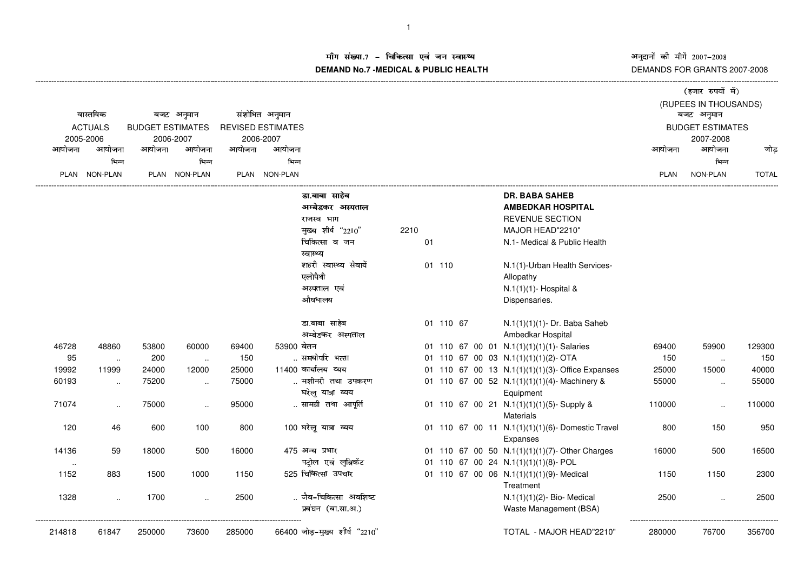अनुदानों की माँगें 2007–2008<br>DEMANDS FOR GRANTS 2007-2008

## म संख्या.7 – चिकित्सा एवं जन स्वास्थ्य<br>IAND N- 7 MEDIOAL 8 DUDLIO UEALTIL **DEMAND No.7 -MEDICAL & PUBLIC HEALTH**

|             |                     |                         |                     |        |                          |                               |      |        |           |  |                                                  |        | (हजार रुपयों में)       |              |
|-------------|---------------------|-------------------------|---------------------|--------|--------------------------|-------------------------------|------|--------|-----------|--|--------------------------------------------------|--------|-------------------------|--------------|
|             | वास्तविक            |                         |                     |        |                          |                               |      |        |           |  |                                                  |        | (RUPEES IN THOUSANDS)   |              |
|             |                     |                         | बजट अनुमान          |        | संशोधित अनुमान           |                               |      |        |           |  |                                                  |        | बजट अनुमान              |              |
|             | <b>ACTUALS</b>      | <b>BUDGET ESTIMATES</b> |                     |        | <b>REVISED ESTIMATES</b> |                               |      |        |           |  |                                                  |        | <b>BUDGET ESTIMATES</b> |              |
|             | 2005-2006<br>आयोजना |                         | 2006-2007<br>आयोजना |        | 2006-2007<br>आयोजना      |                               |      |        |           |  |                                                  |        | 2007-2008<br>आयोजना     |              |
| आयोजना      |                     | आयोजना                  |                     | आयोजना |                          |                               |      |        |           |  |                                                  | आयोजना |                         | जोड          |
|             | भिन्न               |                         | भिन्न               |        | भिन्न                    |                               |      |        |           |  |                                                  |        | भिन्न                   |              |
| <b>PLAN</b> | NON-PLAN            |                         | PLAN NON-PLAN       |        | PLAN NON-PLAN            |                               |      |        |           |  |                                                  | PLAN   | NON-PLAN                | <b>TOTAL</b> |
|             |                     |                         |                     |        |                          | डा.बाबा साहेब                 |      |        |           |  | <b>DR. BABA SAHEB</b>                            |        |                         |              |
|             |                     |                         |                     |        |                          | अम्बेडकर अस्पताल              |      |        |           |  | <b>AMBEDKAR HOSPITAL</b>                         |        |                         |              |
|             |                     |                         |                     |        |                          | राजस्व भाग                    |      |        |           |  | <b>REVENUE SECTION</b>                           |        |                         |              |
|             |                     |                         |                     |        |                          | मुख्य शीर्ष "2210"            | 2210 |        |           |  | MAJOR HEAD"2210"                                 |        |                         |              |
|             |                     |                         |                     |        |                          | चिकित्सा व जन                 | 01   |        |           |  | N.1- Medical & Public Health                     |        |                         |              |
|             |                     |                         |                     |        |                          | स्वास्थ्य                     |      |        |           |  |                                                  |        |                         |              |
|             |                     |                         |                     |        |                          | शहरी स्वास्थ्य सेवायें        |      | 01 110 |           |  | N.1(1)-Urban Health Services-                    |        |                         |              |
|             |                     |                         |                     |        |                          | एलोपैथी                       |      |        |           |  | Allopathy                                        |        |                         |              |
|             |                     |                         |                     |        |                          | अस्पताल एवं                   |      |        |           |  | N.1(1)(1)- Hospital &                            |        |                         |              |
|             |                     |                         |                     |        |                          | औषधालय                        |      |        |           |  | Dispensaries.                                    |        |                         |              |
|             |                     |                         |                     |        |                          | डा.बाबा साहेब                 |      |        | 01 110 67 |  | N.1(1)(1)(1)- Dr. Baba Saheb                     |        |                         |              |
|             |                     |                         |                     |        |                          | अम्बेडकर अस्पताल              |      |        |           |  | Ambedkar Hospital                                |        |                         |              |
| 46728       | 48860               | 53800                   | 60000               | 69400  | 53900 वेतन               |                               |      |        |           |  | 01 110 67 00 01 N.1(1)(1)(1)(1)- Salaries        | 69400  | 59900                   | 129300       |
| 95          | $\ldots$            | 200                     | $\sim$              | 150    |                          | समयोपरि भत्ता                 |      |        |           |  | 01 110 67 00 03 N.1(1)(1)(1)(2)- OTA             | 150    | $\ddotsc$               | 150          |
| 19992       | 11999               | 24000                   | 12000               | 25000  |                          | 11400 कार्यालय व्यय           |      |        |           |  | 01 110 67 00 13 N.1(1)(1)(1)(3)- Office Expanses | 25000  | 15000                   | 40000        |
| 60193       | $\sim$              | 75200                   | $\sim$              | 75000  |                          | मशीनरी तथा उपकरण              |      |        |           |  | 01 110 67 00 52 N.1(1)(1)(1)(4)-Machinery &      | 55000  | $\ddotsc$               | 55000        |
|             |                     |                         |                     |        |                          | घरेलू यात्रा व्यय             |      |        |           |  | Equipment                                        |        |                         |              |
| 71074       | $\ddotsc$           | 75000                   | $\ddotsc$           | 95000  |                          | सामग्री तथा आपूर्ति           |      |        |           |  | 01 110 67 00 21 N.1(1)(1)(1)(5)-Supply &         | 110000 | $\ddotsc$               | 110000       |
|             |                     |                         |                     |        |                          |                               |      |        |           |  | <b>Materials</b>                                 |        |                         |              |
| 120         | 46                  | 600                     | 100                 | 800    |                          | 100 घरेलू यात्रा व्यय         |      |        |           |  | 01 110 67 00 11 N.1(1)(1)(1)(6)- Domestic Travel | 800    | 150                     | 950          |
|             |                     |                         |                     |        |                          |                               |      |        |           |  | Expanses                                         |        |                         |              |
| 14136       | 59                  | 18000                   | 500                 | 16000  |                          | 475 अन्य प्रभार               |      |        |           |  | 01 110 67 00 50 N.1(1)(1)(1)(7)-Other Charges    | 16000  | 500                     | 16500        |
| $\sim$      |                     |                         |                     |        |                          | पट्रोल एवं लुब्रिकेंट         |      |        |           |  | 01 110 67 00 24 N.1(1)(1)(1)(8)- POL             |        |                         |              |
| 1152        | 883                 | 1500                    | 1000                | 1150   |                          | 525 चिकित्सा उपचार            |      |        |           |  | 01 110 67 00 06 N.1(1)(1)(1)(9)- Medical         | 1150   | 1150                    | 2300         |
|             |                     |                         |                     |        |                          |                               |      |        |           |  | Treatment                                        |        |                         |              |
| 1328        | $\ddotsc$           | 1700                    | $\ldots$            | 2500   |                          | जैव-चिकित्सा अवशिष्ट          |      |        |           |  | N.1(1)(1)(2)- Bio- Medical                       | 2500   |                         | 2500         |
|             |                     |                         |                     |        |                          | प्रबंघन (बा.सा.अ.)            |      |        |           |  | Waste Management (BSA)                           |        |                         |              |
|             |                     |                         |                     |        |                          |                               |      |        |           |  |                                                  |        |                         |              |
| 214818      | 61847               | 250000                  | 73600               | 285000 |                          | 66400 जोड़-मुख्य शीर्ष "2210" |      |        |           |  | TOTAL - MAJOR HEAD"2210"                         | 280000 | 76700                   | 356700       |
|             |                     |                         |                     |        |                          |                               |      |        |           |  |                                                  |        |                         |              |
|             |                     |                         |                     |        |                          |                               |      |        |           |  |                                                  |        |                         |              |

----------------------------------------------------------------------------------------------------------------------------------------------------------------------------------------------------------------------------------------------------------------------------------------------